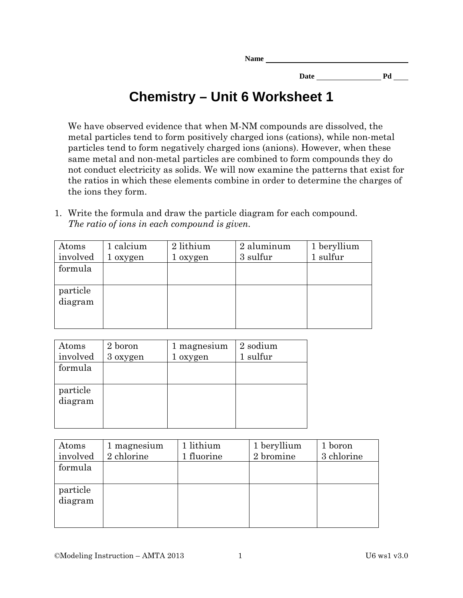**Date Pd** 

## **Chemistry – Unit 6 Worksheet 1**

We have observed evidence that when M-NM compounds are dissolved, the metal particles tend to form positively charged ions (cations), while non-metal particles tend to form negatively charged ions (anions). However, when these same metal and non-metal particles are combined to form compounds they do not conduct electricity as solids. We will now examine the patterns that exist for the ratios in which these elements combine in order to determine the charges of the ions they form.

1. Write the formula and draw the particle diagram for each compound. *The ratio of ions in each compound is given.*

| Atoms    | 1 calcium | 2 lithium | 2 aluminum | 1 beryllium |
|----------|-----------|-----------|------------|-------------|
| involved | 1 oxygen  | 1 oxygen  | 3 sulfur   | 1 sulfur    |
| formula  |           |           |            |             |
|          |           |           |            |             |
| particle |           |           |            |             |
| diagram  |           |           |            |             |
|          |           |           |            |             |
|          |           |           |            |             |

| Atoms<br>involved   | 2 boron<br>3 oxygen | 1 magnesium<br>1 oxygen | 2 sodium<br>1 sulfur |
|---------------------|---------------------|-------------------------|----------------------|
| formula             |                     |                         |                      |
| particle<br>diagram |                     |                         |                      |

| Atoms<br>involved   | 1 magnesium<br>2 chlorine | 1 lithium<br>1 fluorine | 1 beryllium<br>2 bromine | 1 boron<br>3 chlorine |
|---------------------|---------------------------|-------------------------|--------------------------|-----------------------|
| formula             |                           |                         |                          |                       |
| particle<br>diagram |                           |                         |                          |                       |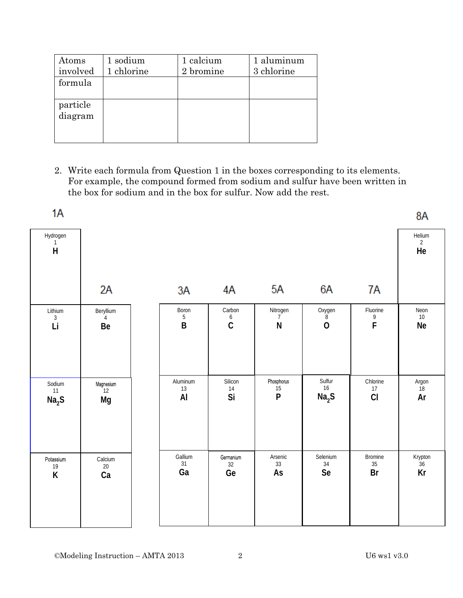| Atoms<br>involved   | 1 sodium<br>1 chlorine | 1 calcium<br>2 bromine | 1 aluminum<br>3 chlorine |
|---------------------|------------------------|------------------------|--------------------------|
| formula             |                        |                        |                          |
| particle<br>diagram |                        |                        |                          |

2. Write each formula from Question 1 in the boxes corresponding to its elements. For example, the compound formed from sodium and sulfur have been written in the box for sodium and in the box for sulfur. Now add the rest.

| 1A                                  |                         |                       |                                           |                              |                            |                          | 8A                             |
|-------------------------------------|-------------------------|-----------------------|-------------------------------------------|------------------------------|----------------------------|--------------------------|--------------------------------|
| Hydrogen<br>$\overline{\mathsf{H}}$ |                         |                       |                                           |                              |                            |                          | Helium<br>$\overline{2}$<br>He |
|                                     | 2A                      | 3A                    | 4A                                        | 5A                           | 6A                         | 7A                       |                                |
| Lithium<br>$\mathfrak{Z}$<br>Li     | Beryllium<br>4<br>Be    | Boron<br>5<br>$\sf B$ | Carbon<br>$\boldsymbol{6}$<br>$\mathsf C$ | Nitrogen<br>7<br>${\sf N}$   | Oxygen<br>8<br>$\mathbf 0$ | Fluorine<br>9<br>F       | Neon<br>$10\,$<br>Ne           |
| Sodium<br>11<br>Na <sub>2</sub> S   | Magnesium<br>12<br>Mg   | Aluminum<br>13<br>AI  | Silicon<br>$14$<br>Si                     | Phosphorus<br>$\frac{15}{P}$ | Sulfur<br>16<br>$Na2S$     | Chlorine<br>$17\,$<br>CI | Argon<br>$18$<br>Ar            |
| Potassium<br>19<br>$\sf K$          | Calcium<br>$20\,$<br>Ca | Gallium<br>31<br>Ga   | Germanium<br>32<br>Ge                     | Arsenic<br>33<br>As          | Selenium<br>$34\,$<br>Se   | Bromine<br>35<br>Br      | Krypton<br>36<br>Kr            |